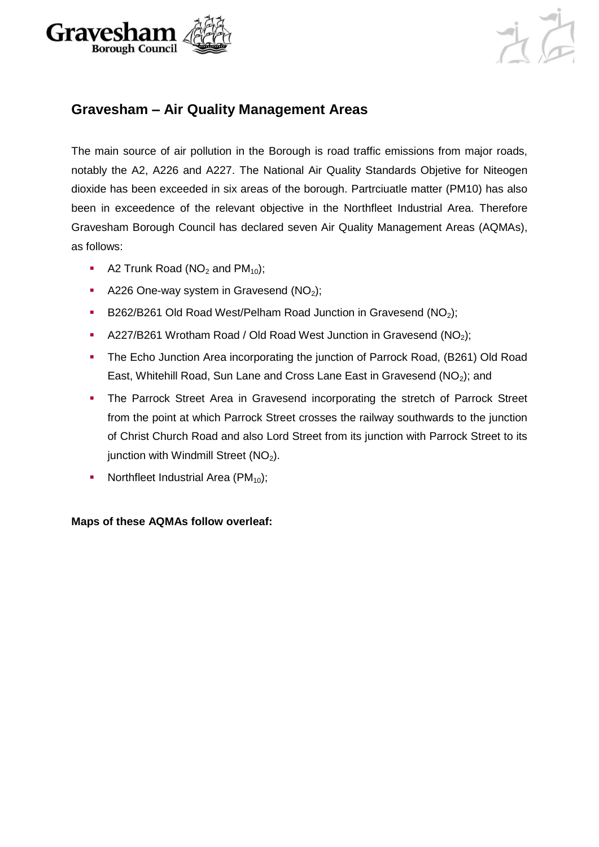



#### **Gravesham – Air Quality Management Areas**

The main source of air pollution in the Borough is road traffic emissions from major roads, notably the A2, A226 and A227. The National Air Quality Standards Objetive for Niteogen dioxide has been exceeded in six areas of the borough. Partrciuatle matter (PM10) has also been in exceedence of the relevant objective in the Northfleet Industrial Area. Therefore Gravesham Borough Council has declared seven Air Quality Management Areas (AQMAs), as follows:

- A2 Trunk Road ( $NO<sub>2</sub>$  and  $PM<sub>10</sub>$ );
- A226 One-way system in Gravesend  $(NO<sub>2</sub>)$ ;
- B262/B261 Old Road West/Pelham Road Junction in Gravesend  $(NO<sub>2</sub>)$ ;
- A227/B261 Wrotham Road / Old Road West Junction in Gravesend ( $NO<sub>2</sub>$ );
- The Echo Junction Area incorporating the junction of Parrock Road, (B261) Old Road East, Whitehill Road, Sun Lane and Cross Lane East in Gravesend  $(NO<sub>2</sub>)$ ; and
- The Parrock Street Area in Gravesend incorporating the stretch of Parrock Street from the point at which Parrock Street crosses the railway southwards to the junction of Christ Church Road and also Lord Street from its junction with Parrock Street to its junction with Windmill Street (NO<sub>2</sub>).
- Northfleet Industrial Area  $(PM_{10})$ ;

**Maps of these AQMAs follow overleaf:**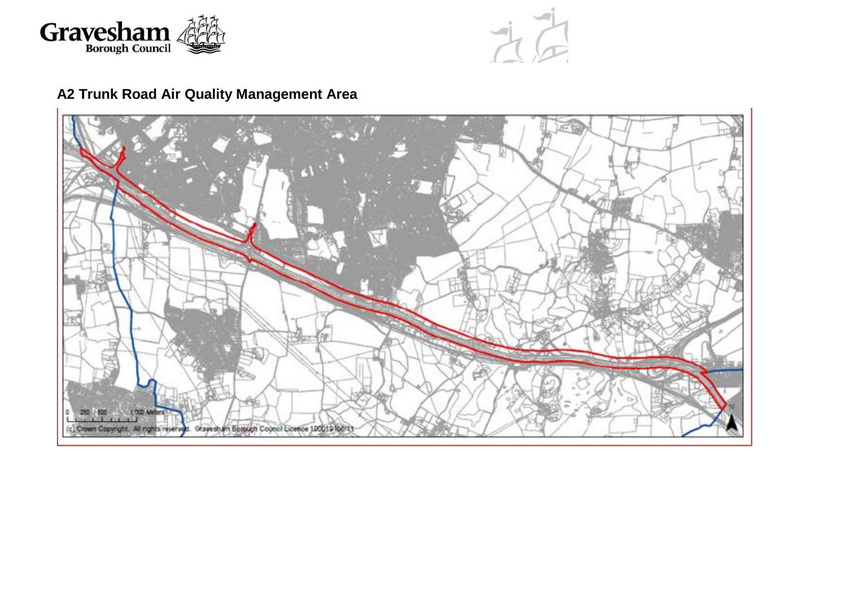



# **A2 Trunk Road Air Quality Management Area**

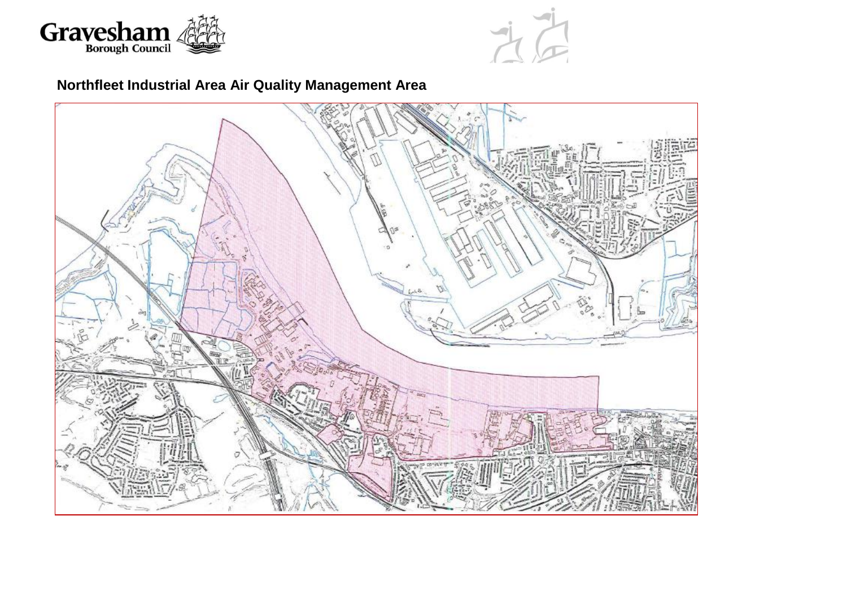



## **Northfleet Industrial Area Air Quality Management Area**

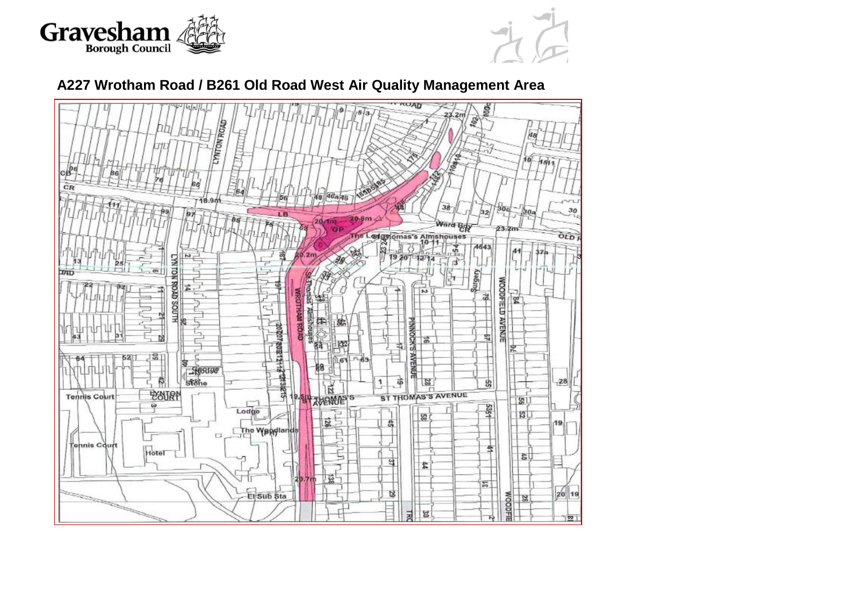



### **A227 Wrotham Road / B261 Old Road West Air Quality Management Area**

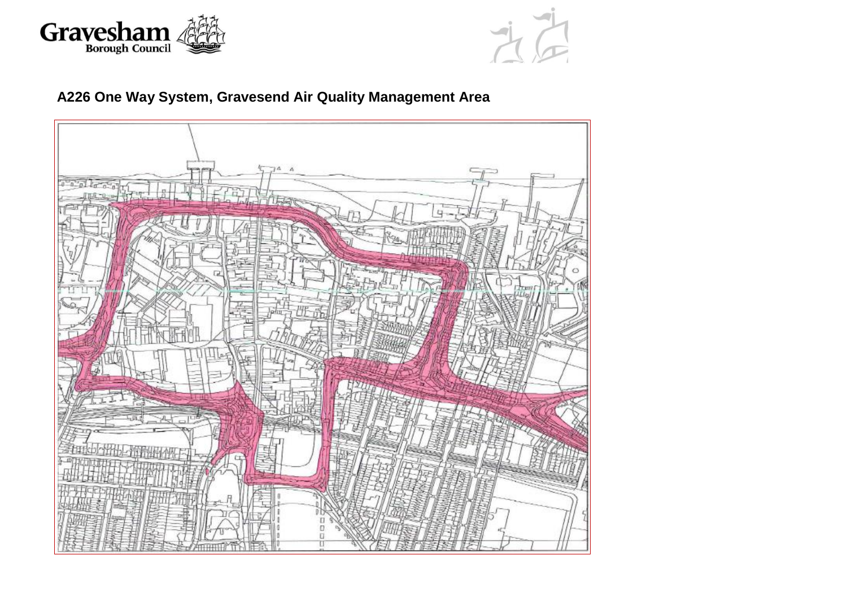



# **A226 One Way System, Gravesend Air Quality Management Area**

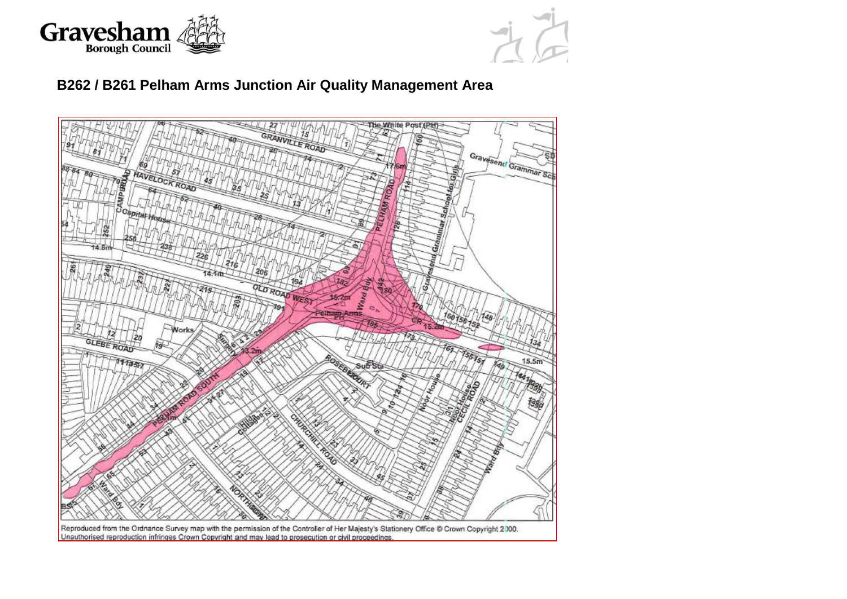



### **B262 / B261 Pelham Arms Junction Air Quality Management Area**

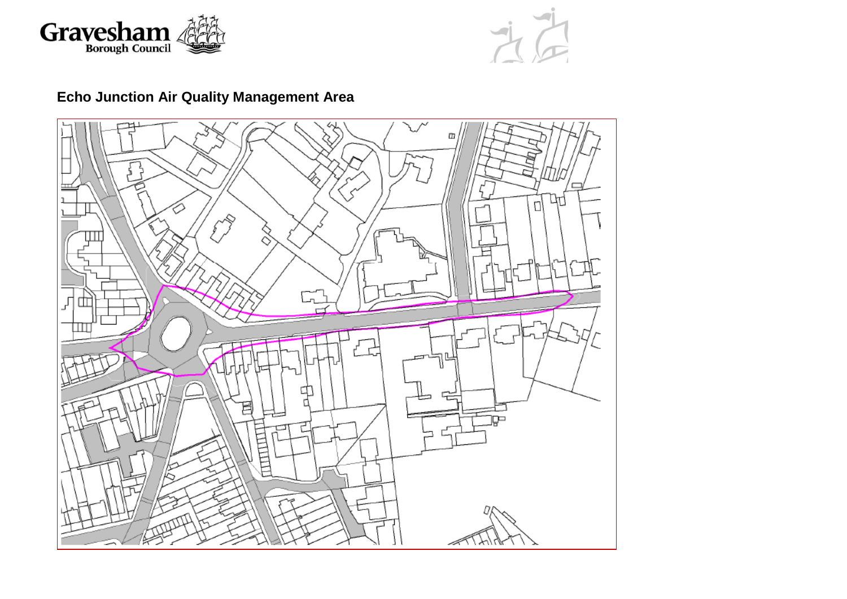



# **Echo Junction Air Quality Management Area**